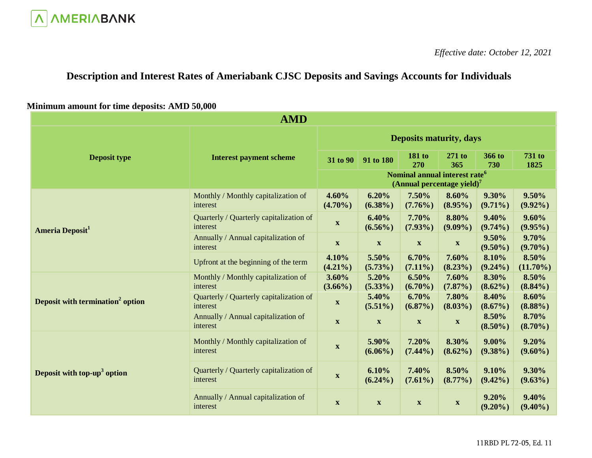

## **Description and Interest Rates of Ameriabank CJSC Deposits and Savings Accounts for Individuals**

### **Minimum amount for time deposits: AMD 50,000**

| <b>AMD</b>                                   |                                                     |                                |                           |                                                                             |                           |                        |                      |
|----------------------------------------------|-----------------------------------------------------|--------------------------------|---------------------------|-----------------------------------------------------------------------------|---------------------------|------------------------|----------------------|
|                                              |                                                     | <b>Deposits maturity, days</b> |                           |                                                                             |                           |                        |                      |
| <b>Deposit type</b>                          | <b>Interest payment scheme</b>                      |                                | 31 to 90 91 to 180        | <b>181 to</b><br>270                                                        | 271 to<br>365             | 366 to<br>730          | 731 to<br>1825       |
|                                              |                                                     |                                |                           | Nominal annual interest rate <sup>6</sup><br>(Annual percentage yield) $^7$ |                           |                        |                      |
| <b>Ameria Deposit<sup>1</sup></b>            | Monthly / Monthly capitalization of<br>interest     | 4.60%<br>$(4.70\%)$            | 6.20%<br>$(6.38\%)$       | 7.50%<br>$(7.76\%)$                                                         | 8.60%<br>$(8.95\%)$       | 9.30%<br>$(9.71\%)$    | 9.50%<br>$(9.92\%)$  |
|                                              | Quarterly / Quarterly capitalization of<br>interest | $\mathbf X$                    | 6.40%<br>$(6.56\%)$       | 7.70%<br>$(7.93\%)$                                                         | 8.80%<br>$(9.09\%)$       | 9.40%<br>$(9.74\%)$    | 9.60%<br>$(9.95\%)$  |
|                                              | Annually / Annual capitalization of<br>interest     | $\mathbf X$                    | $\boldsymbol{\mathrm{X}}$ | $\boldsymbol{\mathrm{X}}$                                                   | $\boldsymbol{\mathrm{X}}$ | 9.50%<br>$(9.50\%)$    | 9.70%<br>$(9.70\%)$  |
|                                              | Upfront at the beginning of the term                | 4.10%<br>$(4.21\%)$            | 5.50%<br>$(5.73\%)$       | 6.70%<br>$(7.11\%)$                                                         | 7.60%<br>$(8.23\%)$       | 8.10%<br>$(9.24\%)$    | 8.50%<br>$(11.70\%)$ |
|                                              | Monthly / Monthly capitalization of<br>interest     | $3.60\%$<br>$(3.66\%)$         | 5.20%<br>$(5.33\%)$       | 6.50%<br>$(6.70\%)$                                                         | 7.60%<br>$(7.87\%)$       | 8.30%<br>$(8.62\%)$    | 8.50%<br>$(8.84\%)$  |
| Deposit with termination <sup>2</sup> option | Quarterly / Quarterly capitalization of<br>interest | $\boldsymbol{\mathrm{X}}$      | 5.40%<br>$(5.51\%)$       | 6.70%<br>$(6.87\%)$                                                         | 7.80%<br>$(8.03\%)$       | 8.40%<br>$(8.67\%)$    | 8.60%<br>$(8.88\%)$  |
|                                              | Annually / Annual capitalization of<br>interest     | $\boldsymbol{\mathrm{X}}$      | $\boldsymbol{\mathrm{X}}$ | $\boldsymbol{\mathrm{X}}$                                                   | $\boldsymbol{\mathrm{X}}$ | 8.50%<br>$(8.50\%)$    | 8.70%<br>$(8.70\%)$  |
| Deposit with top-up <sup>3</sup> option      | Monthly / Monthly capitalization of<br>interest     | $\boldsymbol{\mathrm{X}}$      | 5.90%<br>$(6.06\%)$       | 7.20%<br>$(7.44\%)$                                                         | 8.30%<br>$(8.62\%)$       | $9.00\%$<br>$(9.38\%)$ | 9.20%<br>$(9.60\%)$  |
|                                              | Quarterly / Quarterly capitalization of<br>interest | $\boldsymbol{\mathrm{X}}$      | 6.10%<br>$(6.24\%)$       | 7.40%<br>$(7.61\%)$                                                         | 8.50%<br>$(8.77\%)$       | 9.10%<br>$(9.42\%)$    | 9.30%<br>$(9.63\%)$  |
|                                              | Annually / Annual capitalization of<br>interest     | $\boldsymbol{\mathrm{X}}$      | $\boldsymbol{\mathrm{X}}$ | $\boldsymbol{\mathrm{X}}$                                                   | $\boldsymbol{\mathrm{X}}$ | 9.20%<br>$(9.20\%)$    | 9.40%<br>$(9.40\%)$  |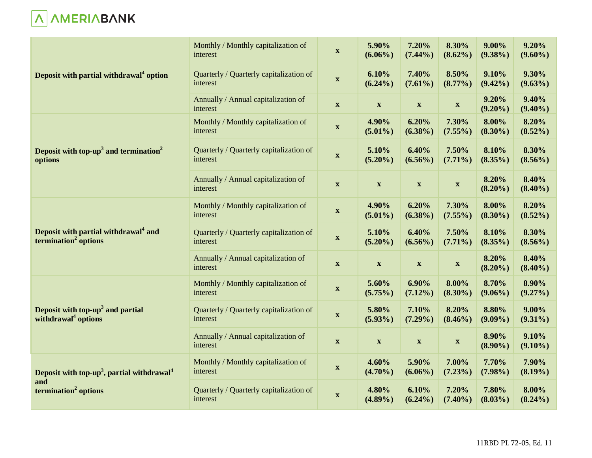

|                                                                                                                | Monthly / Monthly capitalization of<br>interest     | $\mathbf{X}$              | 5.90%<br>$(6.06\%)$       | 7.20%<br>$(7.44\%)$       | 8.30%<br>$(8.62\%)$       | $9.00\%$<br>$(9.38\%)$ | 9.20%<br>$(9.60\%)$    |
|----------------------------------------------------------------------------------------------------------------|-----------------------------------------------------|---------------------------|---------------------------|---------------------------|---------------------------|------------------------|------------------------|
| Deposit with partial withdrawal <sup>4</sup> option                                                            | Quarterly / Quarterly capitalization of<br>interest | $\mathbf X$               | 6.10%<br>$(6.24\%)$       | 7.40%<br>$(7.61\%)$       | 8.50%<br>$(8.77\%)$       | 9.10%<br>$(9.42\%)$    | 9.30%<br>$(9.63\%)$    |
|                                                                                                                | Annually / Annual capitalization of<br>interest     | $\boldsymbol{\mathrm{X}}$ | $\boldsymbol{\mathrm{X}}$ | $\boldsymbol{\mathrm{X}}$ | $\boldsymbol{\mathrm{X}}$ | 9.20%<br>$(9.20\%)$    | 9.40%<br>$(9.40\%)$    |
|                                                                                                                | Monthly / Monthly capitalization of<br>interest     | $\boldsymbol{\mathrm{X}}$ | 4.90%<br>$(5.01\%)$       | 6.20%<br>$(6.38\%)$       | 7.30%<br>$(7.55\%)$       | 8.00%<br>$(8.30\%)$    | 8.20%<br>$(8.52\%)$    |
| Deposit with top-up <sup>3</sup> and termination <sup>2</sup><br>options                                       | Quarterly / Quarterly capitalization of<br>interest | $\boldsymbol{\mathrm{X}}$ | 5.10%<br>$(5.20\%)$       | 6.40%<br>$(6.56\%)$       | 7.50%<br>$(7.71\%)$       | 8.10%<br>$(8.35\%)$    | 8.30%<br>$(8.56\%)$    |
|                                                                                                                | Annually / Annual capitalization of<br>interest     | $\mathbf{X}$              | $\mathbf{X}$              | $\boldsymbol{\mathrm{X}}$ | $\boldsymbol{\mathrm{X}}$ | 8.20%<br>$(8.20\%)$    | 8.40%<br>$(8.40\%)$    |
|                                                                                                                | Monthly / Monthly capitalization of<br>interest     | $\boldsymbol{\mathrm{X}}$ | 4.90%<br>$(5.01\%)$       | 6.20%<br>$(6.38\%)$       | 7.30%<br>$(7.55\%)$       | 8.00%<br>$(8.30\%)$    | 8.20%<br>$(8.52\%)$    |
| Deposit with partial withdrawal <sup>4</sup> and<br>termination <sup>2</sup> options                           | Quarterly / Quarterly capitalization of<br>interest | $\boldsymbol{\mathrm{X}}$ | 5.10%<br>$(5.20\%)$       | 6.40%<br>$(6.56\%)$       | 7.50%<br>$(7.71\%)$       | 8.10%<br>$(8.35\%)$    | 8.30%<br>$(8.56\%)$    |
|                                                                                                                | Annually / Annual capitalization of<br>interest     | $\mathbf{X}$              | $\boldsymbol{\mathrm{X}}$ | $\boldsymbol{\mathrm{X}}$ | $\boldsymbol{\mathrm{X}}$ | 8.20%<br>$(8.20\%)$    | 8.40%<br>$(8.40\%)$    |
|                                                                                                                | Monthly / Monthly capitalization of<br>interest     | $\boldsymbol{\mathrm{X}}$ | 5.60%<br>$(5.75\%)$       | $6.90\%$<br>$(7.12\%)$    | 8.00%<br>$(8.30\%)$       | 8.70%<br>$(9.06\%)$    | 8.90%<br>$(9.27\%)$    |
| Deposit with top-up <sup>3</sup> and partial<br>withdrawal <sup>4</sup> options                                | Quarterly / Quarterly capitalization of<br>interest | $\boldsymbol{\mathrm{X}}$ | 5.80%<br>$(5.93\%)$       | 7.10%<br>$(7.29\%)$       | 8.20%<br>$(8.46\%)$       | 8.80%<br>$(9.09\%)$    | $9.00\%$<br>$(9.31\%)$ |
|                                                                                                                | Annually / Annual capitalization of<br>interest     | $\mathbf{X}$              | $\boldsymbol{\mathrm{X}}$ | $\boldsymbol{\mathrm{X}}$ | $\boldsymbol{\mathrm{X}}$ | 8.90%<br>$(8.90\%)$    | 9.10%<br>$(9.10\%)$    |
| Deposit with top-up <sup>3</sup> , partial withdrawal <sup>4</sup>                                             | Monthly / Monthly capitalization of<br>interest     | $\mathbf{X}$              | 4.60%<br>$(4.70\%)$       | 5.90%<br>$(6.06\%)$       | 7.00%<br>$(7.23\%)$       | 7.70%<br>$(7.98\%)$    | 7.90%<br>$(8.19\%)$    |
| and<br>Quarterly / Quarterly capitalization of<br>termination <sup>2</sup> options<br>$\mathbf{X}$<br>interest | 4.80%<br>$(4.89\%)$                                 | 6.10%<br>$(6.24\%)$       | 7.20%<br>$(7.40\%)$       | 7.80%<br>$(8.03\%)$       | 8.00%<br>$(8.24\%)$       |                        |                        |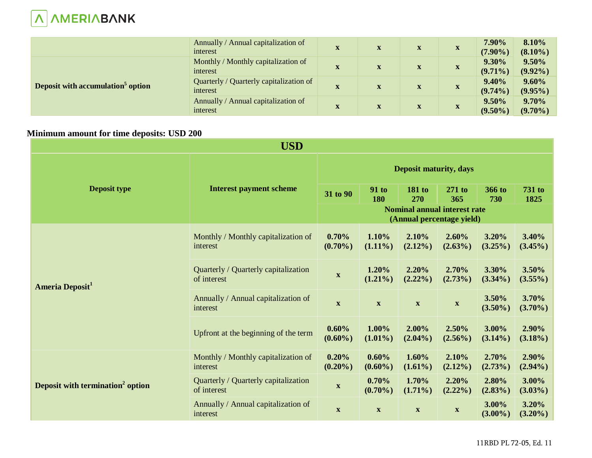

|                                               | Annually / Annual capitalization of<br>interest     | $\mathbf{X}$ | $\mathbf{X}$ | $\mathbf X$ | X           | $7.90\%$<br>$(7.90\%)$ | 8.10%<br>$(8.10\%)$ |
|-----------------------------------------------|-----------------------------------------------------|--------------|--------------|-------------|-------------|------------------------|---------------------|
| Deposit with accumulation <sup>5</sup> option | Monthly / Monthly capitalization of<br>interest     | $\mathbf{x}$ | $\mathbf{X}$ | $\mathbf X$ | $\mathbf X$ | 9.30%<br>$(9.71\%)$    | 9.50%<br>$(9.92\%)$ |
|                                               | Quarterly / Quarterly capitalization of<br>interest | $\mathbf X$  | $\mathbf{X}$ | $\mathbf X$ | $\mathbf X$ | 9.40%<br>$(9.74\%)$    | 9.60%<br>$(9.95\%)$ |
|                                               | Annually / Annual capitalization of<br>interest     | $\mathbf X$  | $\mathbf{x}$ | $\mathbf X$ | $\mathbf X$ | $9.50\%$<br>$(9.50\%)$ | 9.70%<br>$(9.70\%)$ |

### **Minimum amount for time deposits: USD 200**

|                                              | <b>USD</b>                                          |                               |                           |                           |                                                                  |                     |                     |
|----------------------------------------------|-----------------------------------------------------|-------------------------------|---------------------------|---------------------------|------------------------------------------------------------------|---------------------|---------------------|
|                                              |                                                     | <b>Deposit maturity, days</b> |                           |                           |                                                                  |                     |                     |
| <b>Deposit type</b>                          | <b>Interest payment scheme</b>                      | 31 to 90                      | <b>91 to</b><br>180       | <b>181 to</b><br>270      | $271$ to<br>365                                                  | 366 to<br>730       | 731 to<br>1825      |
|                                              |                                                     |                               |                           |                           | <b>Nominal annual interest rate</b><br>(Annual percentage yield) |                     |                     |
| <b>Ameria Deposit</b>                        | Monthly / Monthly capitalization of<br>interest     | 0.70%<br>$(0.70\%)$           | 1.10%<br>$(1.11\%)$       | 2.10%<br>$(2.12\%)$       | 2.60%<br>$(2.63\%)$                                              | 3.20%<br>$(3.25\%)$ | 3.40%<br>$(3.45\%)$ |
|                                              | Quarterly / Quarterly capitalization<br>of interest | $\boldsymbol{\mathrm{X}}$     | 1.20%<br>$(1.21\%)$       | 2.20%<br>$(2.22\%)$       | 2.70%<br>$(2.73\%)$                                              | 3.30%<br>$(3.34\%)$ | 3.50%<br>$(3.55\%)$ |
|                                              | Annually / Annual capitalization of<br>interest     | $\boldsymbol{\mathrm{X}}$     | $\boldsymbol{\mathrm{X}}$ | $\boldsymbol{\mathrm{X}}$ | $\mathbf X$                                                      | 3.50%<br>$(3.50\%)$ | 3.70%<br>$(3.70\%)$ |
|                                              | Upfront at the beginning of the term                | 0.60%<br>$(0.60\%)$           | 1.00%<br>$(1.01\%)$       | $2.00\%$<br>$(2.04\%)$    | 2.50%<br>$(2.56\%)$                                              | 3.00%<br>$(3.14\%)$ | 2.90%<br>$(3.18\%)$ |
| Deposit with termination <sup>2</sup> option | Monthly / Monthly capitalization of<br>interest     | 0.20%<br>$(0.20\%)$           | 0.60%<br>$(0.60\%)$       | 1.60%<br>$(1.61\%)$       | 2.10%<br>$(2.12\%)$                                              | 2.70%<br>$(2.73\%)$ | 2.90%<br>$(2.94\%)$ |
|                                              | Quarterly / Quarterly capitalization<br>of interest | $\boldsymbol{\mathrm{X}}$     | 0.70%<br>$(0.70\%)$       | 1.70%<br>$(1.71\%)$       | 2.20%<br>$(2.22\%)$                                              | 2.80%<br>$(2.83\%)$ | 3.00%<br>$(3.03\%)$ |
|                                              | Annually / Annual capitalization of<br>interest     | $\mathbf X$                   | $\boldsymbol{\mathrm{X}}$ | $\boldsymbol{\mathrm{X}}$ | $\boldsymbol{\mathrm{X}}$                                        | 3.00%<br>$(3.00\%)$ | 3.20%<br>$(3.20\%)$ |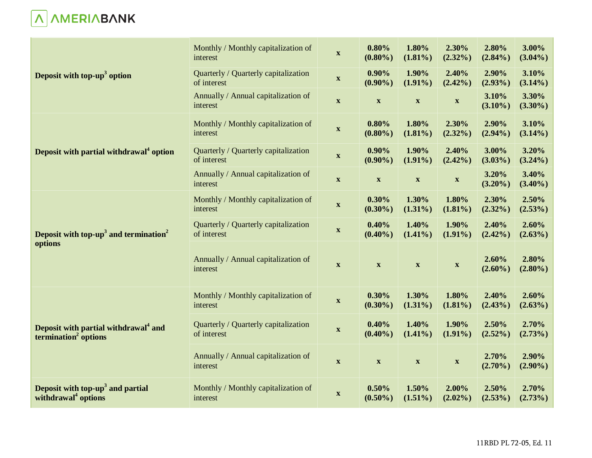

|                                                                                      | Monthly / Monthly capitalization of<br>interest     | $\mathbf{X}$              | 0.80%<br>$(0.80\%)$       | 1.80%<br>$(1.81\%)$       | 2.30%<br>$(2.32\%)$       | 2.80%<br>$(2.84\%)$ | 3.00%<br>$(3.04\%)$ |
|--------------------------------------------------------------------------------------|-----------------------------------------------------|---------------------------|---------------------------|---------------------------|---------------------------|---------------------|---------------------|
| Deposit with top-up <sup>3</sup> option                                              | Quarterly / Quarterly capitalization<br>of interest | $\boldsymbol{\mathrm{X}}$ | $0.90\%$<br>$(0.90\%)$    | $1.90\%$<br>$(1.91\%)$    | 2.40%<br>$(2.42\%)$       | 2.90%<br>$(2.93\%)$ | 3.10%<br>$(3.14\%)$ |
|                                                                                      | Annually / Annual capitalization of<br>interest     | $\boldsymbol{\mathrm{X}}$ | $\mathbf X$               | $\boldsymbol{\mathrm{X}}$ | $\boldsymbol{\mathrm{X}}$ | 3.10%<br>$(3.10\%)$ | 3.30%<br>$(3.30\%)$ |
|                                                                                      | Monthly / Monthly capitalization of<br>interest     | $\boldsymbol{\mathrm{X}}$ | 0.80%<br>$(0.80\%)$       | 1.80%<br>$(1.81\%)$       | 2.30%<br>$(2.32\%)$       | 2.90%<br>$(2.94\%)$ | 3.10%<br>$(3.14\%)$ |
| Deposit with partial withdrawal <sup>4</sup> option                                  | Quarterly / Quarterly capitalization<br>of interest | $\boldsymbol{\mathrm{X}}$ | $0.90\%$<br>$(0.90\%)$    | 1.90%<br>$(1.91\%)$       | 2.40%<br>$(2.42\%)$       | 3.00%<br>$(3.03\%)$ | 3.20%<br>$(3.24\%)$ |
|                                                                                      | Annually / Annual capitalization of<br>interest     | $\boldsymbol{\mathrm{X}}$ | $\boldsymbol{\mathrm{X}}$ | $\boldsymbol{\mathrm{X}}$ | $\boldsymbol{\mathrm{X}}$ | 3.20%<br>$(3.20\%)$ | 3.40%<br>$(3.40\%)$ |
|                                                                                      | Monthly / Monthly capitalization of<br>interest     | $\boldsymbol{\mathrm{X}}$ | 0.30%<br>$(0.30\%)$       | 1.30%<br>$(1.31\%)$       | 1.80%<br>$(1.81\%)$       | 2.30%<br>$(2.32\%)$ | 2.50%<br>$(2.53\%)$ |
| Deposit with top- $up3$ and termination <sup>2</sup>                                 | Quarterly / Quarterly capitalization<br>of interest | $\mathbf{X}$              | 0.40%<br>$(0.40\%)$       | 1.40%<br>$(1.41\%)$       | 1.90%<br>$(1.91\%)$       | 2.40%<br>$(2.42\%)$ | 2.60%<br>$(2.63\%)$ |
| options                                                                              | Annually / Annual capitalization of<br>interest     | $\mathbf X$               | $\mathbf{X}$              | $\mathbf{X}$              | $\boldsymbol{\mathrm{X}}$ | 2.60%<br>$(2.60\%)$ | 2.80%<br>$(2.80\%)$ |
|                                                                                      | Monthly / Monthly capitalization of<br>interest     | $\boldsymbol{\mathrm{X}}$ | 0.30%<br>$(0.30\%)$       | 1.30%<br>$(1.31\%)$       | 1.80%<br>$(1.81\%)$       | 2.40%<br>$(2.43\%)$ | 2.60%<br>$(2.63\%)$ |
| Deposit with partial withdrawal <sup>4</sup> and<br>termination <sup>2</sup> options | Quarterly / Quarterly capitalization<br>of interest | $\boldsymbol{\mathrm{X}}$ | 0.40%<br>$(0.40\%)$       | 1.40%<br>$(1.41\%)$       | 1.90%<br>$(1.91\%)$       | 2.50%<br>$(2.52\%)$ | 2.70%<br>(2.73%)    |
|                                                                                      | Annually / Annual capitalization of<br>interest     | $\mathbf X$               | $\mathbf{X}$              | $\mathbf{X}$              | $\boldsymbol{\mathrm{X}}$ | 2.70%<br>$(2.70\%)$ | 2.90%<br>$(2.90\%)$ |
| Deposit with top-up <sup>3</sup> and partial<br>withdrawal <sup>4</sup> options      | Monthly / Monthly capitalization of<br>interest     | $\mathbf{X}$              | 0.50%<br>$(0.50\%)$       | 1.50%<br>$(1.51\%)$       | 2.00%<br>$(2.02\%)$       | 2.50%<br>$(2.53\%)$ | 2.70%<br>(2.73%)    |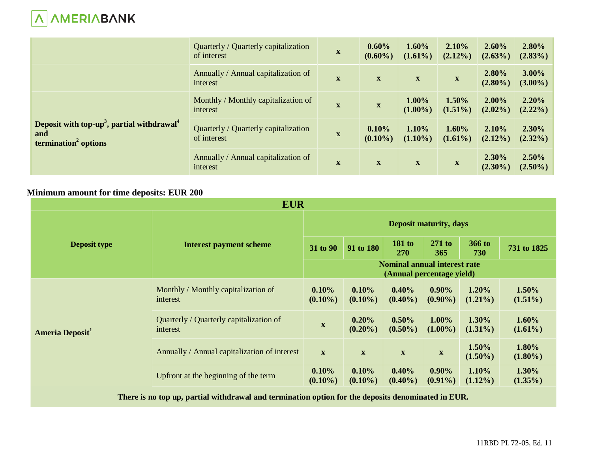# **A AMERIABANK**

|                                                                                                               | Quarterly / Quarterly capitalization<br>of interest | $\mathbf x$  | 0.60%<br>$(0.60\%)$ | $1.60\%$<br>$(1.61\%)$    | $2.10\%$<br>$(2.12\%)$    | $2.60\%$<br>$(2.63\%)$ | 2.80%<br>$(2.83\%)$    |
|---------------------------------------------------------------------------------------------------------------|-----------------------------------------------------|--------------|---------------------|---------------------------|---------------------------|------------------------|------------------------|
|                                                                                                               | Annually / Annual capitalization of<br>interest     | $\mathbf{X}$ | $\mathbf{X}$        | $\boldsymbol{\mathrm{X}}$ | $\boldsymbol{\mathrm{X}}$ | 2.80%<br>$(2.80\%)$    | 3.00%<br>$(3.00\%)$    |
| Deposit with top-up <sup>3</sup> , partial withdrawal <sup>4</sup><br>and<br>termination <sup>2</sup> options | Monthly / Monthly capitalization of<br>interest     | $\mathbf{X}$ | $\mathbf X$         | $1.00\%$<br>$(1.00\%)$    | 1.50%<br>$(1.51\%)$       | $2.00\%$<br>$(2.02\%)$ | 2.20%<br>$(2.22\%)$    |
|                                                                                                               | Quarterly / Quarterly capitalization<br>of interest | $\mathbf x$  | 0.10%<br>$(0.10\%)$ | 1.10%<br>$(1.10\%)$       | $1.60\%$<br>$(1.61\%)$    | $2.10\%$<br>$(2.12\%)$ | $2.30\%$<br>$(2.32\%)$ |
|                                                                                                               | Annually / Annual capitalization of<br>interest     | $\mathbf{X}$ | $\mathbf{X}$        | $\boldsymbol{\mathrm{X}}$ | $\boldsymbol{\mathrm{X}}$ | $2.30\%$<br>$(2.30\%)$ | 2.50%<br>$(2.50\%)$    |

## **Minimum amount for time deposits: EUR 200**

| <b>EUR</b>                  |                                                     |                                                                  |                           |                      |                        |                      |                        |  |
|-----------------------------|-----------------------------------------------------|------------------------------------------------------------------|---------------------------|----------------------|------------------------|----------------------|------------------------|--|
|                             | <b>Interest payment scheme</b>                      | <b>Deposit maturity, days</b>                                    |                           |                      |                        |                      |                        |  |
| <b>Deposit type</b>         |                                                     | 31 to 90                                                         | 91 to 180                 | <b>181 to</b><br>270 | $271$ to<br>365        | 366 to<br><b>730</b> | 731 to 1825            |  |
|                             |                                                     | <b>Nominal annual interest rate</b><br>(Annual percentage yield) |                           |                      |                        |                      |                        |  |
| Ameria Deposit <sup>1</sup> | Monthly / Monthly capitalization of<br>interest     | $0.10\%$<br>$(0.10\%)$                                           | 0.10%<br>$(0.10\%)$       | 0.40%<br>$(0.40\%)$  | $0.90\%$<br>$(0.90\%)$ | 1.20%<br>$(1.21\%)$  | $1.50\%$<br>$(1.51\%)$ |  |
|                             | Quarterly / Quarterly capitalization of<br>interest | $\mathbf X$                                                      | 0.20%<br>$(0.20\%)$       | 0.50%<br>$(0.50\%)$  | $1.00\%$<br>$(1.00\%)$ | 1.30%<br>$(1.31\%)$  | 1.60%<br>$(1.61\%)$    |  |
|                             | Annually / Annual capitalization of interest        | $\mathbf{X}$                                                     | $\boldsymbol{\mathrm{X}}$ | $\mathbf{X}$         | $\mathbf X$            | 1.50%<br>$(1.50\%)$  | 1.80%<br>$(1.80\%)$    |  |
|                             | Upfront at the beginning of the term                | 0.10%<br>$(0.10\%)$                                              | 0.10%<br>$(0.10\%)$       | 0.40%<br>$(0.40\%)$  | $0.90\%$<br>$(0.91\%)$ | 1.10%<br>$(1.12\%)$  | $1.30\%$<br>$(1.35\%)$ |  |

**There is no top up, partial withdrawal and termination option for the deposits denominated in EUR.**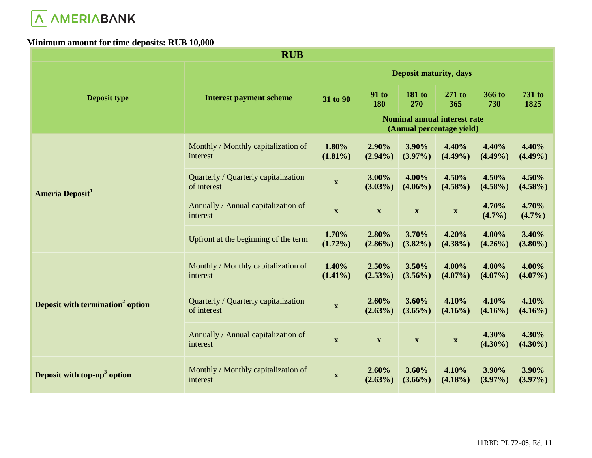

## **Minimum amount for time deposits: RUB 10,000**

| <b>RUB</b>                                   |                                                     |                               |                           |                           |                                                                  |                     |                     |
|----------------------------------------------|-----------------------------------------------------|-------------------------------|---------------------------|---------------------------|------------------------------------------------------------------|---------------------|---------------------|
|                                              |                                                     | <b>Deposit maturity, days</b> |                           |                           |                                                                  |                     |                     |
| <b>Deposit type</b>                          | <b>Interest payment scheme</b>                      | 31 to 90                      | <b>91 to</b><br>180       | <b>181 to</b><br>270      | 271 to<br>365                                                    | 366 to<br>730       | 731 to<br>1825      |
|                                              |                                                     |                               |                           |                           | <b>Nominal annual interest rate</b><br>(Annual percentage yield) |                     |                     |
| Ameria Deposit <sup>1</sup>                  | Monthly / Monthly capitalization of<br>interest     | 1.80%<br>$(1.81\%)$           | 2.90%<br>$(2.94\%)$       | 3.90%<br>$(3.97\%)$       | 4.40%<br>$(4.49\%)$                                              | 4.40%<br>$(4.49\%)$ | 4.40%<br>$(4.49\%)$ |
|                                              | Quarterly / Quarterly capitalization<br>of interest | $\mathbf X$                   | 3.00%<br>$(3.03\%)$       | 4.00%<br>$(4.06\%)$       | 4.50%<br>$(4.58\%)$                                              | 4.50%<br>$(4.58\%)$ | 4.50%<br>$(4.58\%)$ |
|                                              | Annually / Annual capitalization of<br>interest     | $\boldsymbol{\mathrm{X}}$     | $\mathbf{X}$              | $\boldsymbol{\mathrm{X}}$ | $\boldsymbol{\mathrm{X}}$                                        | 4.70%<br>$(4.7\%)$  | 4.70%<br>$(4.7\%)$  |
|                                              | Upfront at the beginning of the term                | 1.70%<br>$(1.72\%)$           | 2.80%<br>$(2.86\%)$       | 3.70%<br>$(3.82\%)$       | 4.20%<br>$(4.38\%)$                                              | 4.00%<br>$(4.26\%)$ | 3.40%<br>$(3.80\%)$ |
| Deposit with termination <sup>2</sup> option | Monthly / Monthly capitalization of<br>interest     | 1.40%<br>$(1.41\%)$           | 2.50%<br>$(2.53\%)$       | 3.50%<br>$(3.56\%)$       | 4.00%<br>$(4.07\%)$                                              | 4.00%<br>$(4.07\%)$ | 4.00%<br>$(4.07\%)$ |
|                                              | Quarterly / Quarterly capitalization<br>of interest | $\mathbf{X}$                  | 2.60%<br>$(2.63\%)$       | 3.60%<br>$(3.65\%)$       | 4.10%<br>$(4.16\%)$                                              | 4.10%<br>$(4.16\%)$ | 4.10%<br>$(4.16\%)$ |
|                                              | Annually / Annual capitalization of<br>interest     | $\mathbf{X}$                  | $\boldsymbol{\mathrm{X}}$ | $\boldsymbol{\mathrm{X}}$ | $\boldsymbol{\mathrm{X}}$                                        | 4.30%<br>$(4.30\%)$ | 4.30%<br>$(4.30\%)$ |
| Deposit with top-up <sup>3</sup> option      | Monthly / Monthly capitalization of<br>interest     | $\mathbf{X}$                  | 2.60%<br>$(2.63\%)$       | 3.60%<br>$(3.66\%)$       | 4.10%<br>$(4.18\%)$                                              | 3.90%<br>$(3.97\%)$ | 3.90%<br>$(3.97\%)$ |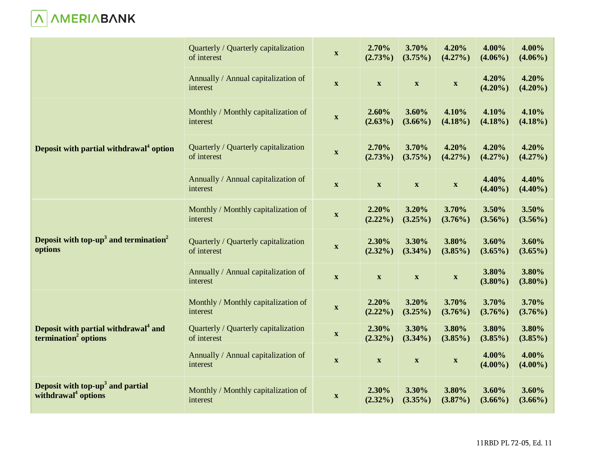# **A**<br>
MERIABANK

|                                                                                      | Quarterly / Quarterly capitalization<br>of interest | $\mathbf{X}$              | 2.70%<br>$(2.73\%)$       | 3.70%<br>(3.75%)          | 4.20%<br>$(4.27\%)$       | 4.00%<br>$(4.06\%)$ | 4.00%<br>$(4.06\%)$ |
|--------------------------------------------------------------------------------------|-----------------------------------------------------|---------------------------|---------------------------|---------------------------|---------------------------|---------------------|---------------------|
|                                                                                      | Annually / Annual capitalization of<br>interest     | $\boldsymbol{\mathrm{X}}$ | $\boldsymbol{\mathrm{X}}$ | $\boldsymbol{\mathrm{X}}$ | $\boldsymbol{\mathrm{X}}$ | 4.20%<br>$(4.20\%)$ | 4.20%<br>$(4.20\%)$ |
|                                                                                      | Monthly / Monthly capitalization of<br>interest     | $\boldsymbol{\mathrm{X}}$ | 2.60%<br>$(2.63\%)$       | 3.60%<br>$(3.66\%)$       | 4.10%<br>$(4.18\%)$       | 4.10%<br>$(4.18\%)$ | 4.10%<br>$(4.18\%)$ |
| Deposit with partial withdrawal <sup>4</sup> option                                  | Quarterly / Quarterly capitalization<br>of interest | $\boldsymbol{\mathrm{X}}$ | 2.70%<br>$(2.73\%)$       | 3.70%<br>$(3.75\%)$       | 4.20%<br>$(4.27\%)$       | 4.20%<br>$(4.27\%)$ | 4.20%<br>$(4.27\%)$ |
|                                                                                      | Annually / Annual capitalization of<br>interest     | $\mathbf X$               | $\boldsymbol{\mathrm{X}}$ | $\boldsymbol{\mathrm{X}}$ | $\boldsymbol{\mathrm{X}}$ | 4.40%<br>$(4.40\%)$ | 4.40%<br>$(4.40\%)$ |
| Deposit with top- $up3$ and termination <sup>2</sup><br>options                      | Monthly / Monthly capitalization of<br>interest     | $\boldsymbol{\mathrm{X}}$ | 2.20%<br>$(2.22\%)$       | 3.20%<br>$(3.25\%)$       | 3.70%<br>$(3.76\%)$       | 3.50%<br>$(3.56\%)$ | 3.50%<br>$(3.56\%)$ |
|                                                                                      | Quarterly / Quarterly capitalization<br>of interest | $\boldsymbol{\mathrm{X}}$ | 2.30%<br>$(2.32\%)$       | 3.30%<br>$(3.34\%)$       | 3.80%<br>$(3.85\%)$       | 3.60%<br>$(3.65\%)$ | 3.60%<br>$(3.65\%)$ |
|                                                                                      | Annually / Annual capitalization of<br>interest     | $\mathbf{X}$              | $\boldsymbol{\mathrm{X}}$ | $\boldsymbol{\mathrm{X}}$ | $\boldsymbol{\mathrm{X}}$ | 3.80%<br>$(3.80\%)$ | 3.80%<br>$(3.80\%)$ |
| Deposit with partial withdrawal <sup>4</sup> and<br>termination <sup>2</sup> options | Monthly / Monthly capitalization of<br>interest     | $\mathbf{X}$              | 2.20%<br>$(2.22\%)$       | 3.20%<br>$(3.25\%)$       | 3.70%<br>$(3.76\%)$       | 3.70%<br>$(3.76\%)$ | 3.70%<br>$(3.76\%)$ |
|                                                                                      | Quarterly / Quarterly capitalization<br>of interest | $\mathbf{X}$              | 2.30%<br>$(2.32\%)$       | 3.30%<br>$(3.34\%)$       | 3.80%<br>$(3.85\%)$       | 3.80%<br>$(3.85\%)$ | 3.80%<br>$(3.85\%)$ |
|                                                                                      | Annually / Annual capitalization of<br>interest     | $\mathbf{X}$              | $\boldsymbol{\mathrm{X}}$ | $\boldsymbol{\mathrm{X}}$ | $\boldsymbol{\mathrm{X}}$ | 4.00%<br>$(4.00\%)$ | 4.00%<br>$(4.00\%)$ |
| Deposit with top-up <sup>3</sup> and partial<br>withdrawal <sup>4</sup> options      | Monthly / Monthly capitalization of<br>interest     | $\mathbf{X}$              | 2.30%<br>$(2.32\%)$       | 3.30%<br>$(3.35\%)$       | 3.80%<br>$(3.87\%)$       | 3.60%<br>$(3.66\%)$ | 3.60%<br>$(3.66\%)$ |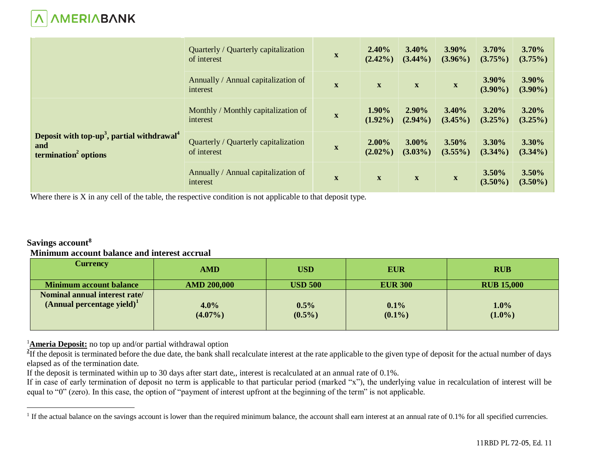# *AMERIABANK*

|                                                                                                               | Quarterly / Quarterly capitalization<br>of interest | $\mathbf{X}$ | 2.40%<br>$(2.42\%)$    | $3.40\%$<br>$(3.44\%)$ | 3.90%<br>$(3.96\%)$    | 3.70%<br>$(3.75\%)$    | 3.70%<br>$(3.75\%)$ |
|---------------------------------------------------------------------------------------------------------------|-----------------------------------------------------|--------------|------------------------|------------------------|------------------------|------------------------|---------------------|
|                                                                                                               | Annually / Annual capitalization of<br>interest     | X            | $\mathbf{X}$           | $\mathbf{X}$           | $\mathbf{X}$           | 3.90%<br>$(3.90\%)$    | 3.90%<br>$(3.90\%)$ |
| Deposit with top-up <sup>3</sup> , partial withdrawal <sup>4</sup><br>and<br>termination <sup>2</sup> options | Monthly / Monthly capitalization of<br>interest     | $\mathbf{X}$ | 1.90%<br>$(1.92\%)$    | 2.90%<br>$(2.94\%)$    | $3.40\%$<br>$(3.45\%)$ | $3.20\%$<br>$(3.25\%)$ | 3.20%<br>$(3.25\%)$ |
|                                                                                                               | Quarterly / Quarterly capitalization<br>of interest | $\mathbf{X}$ | $2.00\%$<br>$(2.02\%)$ | 3.00%<br>$(3.03\%)$    | $3.50\%$<br>$(3.55\%)$ | 3.30%<br>$(3.34\%)$    | 3.30%<br>$(3.34\%)$ |
|                                                                                                               | Annually / Annual capitalization of<br>interest     | $\mathbf{X}$ | $\mathbf{X}$           | $\mathbf X$            | $\mathbf X$            | 3.50%<br>$(3.50\%)$    | 3.50%<br>$(3.50\%)$ |

Where there is X in any cell of the table, the respective condition is not applicable to that deposit type.

### **Savings account<sup>8</sup> Minimum account balance and interest accrual**

| <b>Currency</b>                                                      | <b>AMD</b>            | <b>USD</b>        | <b>EUR</b>        | <b>RUB</b>        |
|----------------------------------------------------------------------|-----------------------|-------------------|-------------------|-------------------|
| <b>Minimum account balance</b>                                       | <b>AMD 200,000</b>    | <b>USD 500</b>    | <b>EUR 300</b>    | <b>RUB 15,000</b> |
| Nominal annual interest rate/<br>$(A$ nnual percentage yield $)^{1}$ | $4.0\%$<br>$(4.07\%)$ | 0.5%<br>$(0.5\%)$ | 0.1%<br>$(0.1\%)$ | 1.0%<br>$(1.0\%)$ |

### <sup>1</sup>**Ameria Deposit:** no top up and/or partial withdrawal option

<sup>2</sup>If the deposit is terminated before the due date, the bank shall recalculate interest at the rate applicable to the given type of deposit for the actual number of days elapsed as of the termination date.

If the deposit is terminated within up to 30 days after start date,, interest is recalculated at an annual rate of 0.1%.

If in case of early termination of deposit no term is applicable to that particular period (marked "x"), the underlying value in recalculation of interest will be equal to "0" (zero). In this case, the option of "payment of interest upfront at the beginning of the term" is not applicable.

<sup>&</sup>lt;sup>1</sup> If the actual balance on the savings account is lower than the required minimum balance, the account shall earn interest at an annual rate of 0.1% for all specified currencies.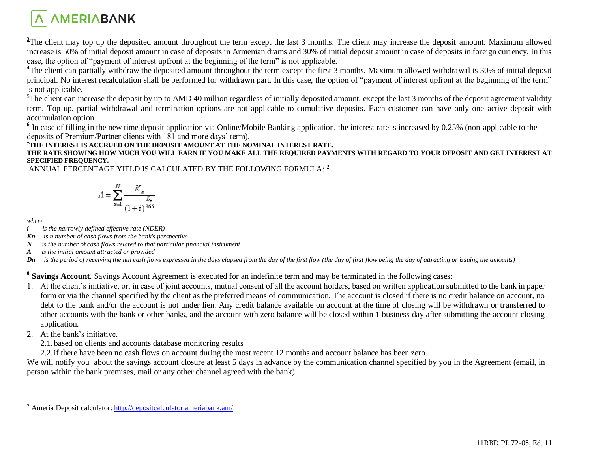

<sup>3</sup>The client may top up the deposited amount throughout the term except the last 3 months. The client may increase the deposit amount. Maximum allowed increase is 50% of initial deposit amount in case of deposits in Armenian drams and 30% of initial deposit amount in case of deposits in foreign currency. In this case, the option of "payment of interest upfront at the beginning of the term" is not applicable.

<sup>4</sup>The client can partially withdraw the deposited amount throughout the term except the first 3 months. Maximum allowed withdrawal is 30% of initial deposit principal. No interest recalculation shall be performed for withdrawn part. In this case, the option of "payment of interest upfront at the beginning of the term" is not applicable.

 ${}^{5}$ The client can increase the deposit by up to AMD 40 million regardless of initially deposited amount, except the last 3 months of the deposit agreement validity term. Top up, partial withdrawal and termination options are not applicable to cumulative deposits. Each customer can have only one active deposit with accumulation option.

 $\frac{6}{6}$  In case of filling in the new time deposit application via Online/Mobile Banking application, the interest rate is increased by 0.25% (non-applicable to the deposits of Premium/Partner clients with 181 and more days' term).

#### **<sup>7</sup>THE INTEREST IS ACCRUED ON THE DEPOSIT AMOUNT AT THE NOMINAL INTEREST RATE.**

#### **THE RATE SHOWING HOW MUCH YOU WILL EARN IF YOU MAKE ALL THE REQUIRED PAYMENTS WITH REGARD TO YOUR DEPOSIT AND GET INTEREST AT SPECIFIED FREQUENCY.**

ANNUAL PERCENTAGE YIELD IS CALCULATED BY THE FOLLOWING FORMULA: <sup>2</sup>

$$
A = \sum_{n=1}^{N} \frac{K_n}{(1+i)^{\frac{D_n}{36}}}
$$

*where*

 $\overline{a}$ 

- *i is the narrowly defined effective rate (NDER)*
- *Kn is n number of cash flows from the bank's perspective*
- *N is the number of cash flows related to that particular financial instrument*
- *A is the initial amount attracted or provided*
- *Dn is the period of receiving the nth cash flows expressed in the days elapsed from the day of the first flow (the day of first flow being the day of attracting or issuing the amounts)*

**8 Savings Account.** Savings Account Agreement is executed for an indefinite term and may be terminated in the following cases:

- 1. At the client's initiative, or, in case of joint accounts, mutual consent of all the account holders, based on written application submitted to the bank in paper form or via the channel specified by the client as the preferred means of communication. The account is closed if there is no credit balance on account, no debt to the bank and/or the account is not under lien. Any credit balance available on account at the time of closing will be withdrawn or transferred to other accounts with the bank or other banks, and the account with zero balance will be closed within 1 business day after submitting the account closing application.
- 2. At the bank's initiative,
	- 2.1.based on clients and accounts database monitoring results
	- 2.2.if there have been no cash flows on account during the most recent 12 months and account balance has been zero.

We will notify you about the savings account closure at least 5 days in advance by the communication channel specified by you in the Agreement (email, in person within the bank premises, mail or any other channel agreed with the bank).

<sup>2</sup> Ameria Deposit calculator: <http://depositcalculator.ameriabank.am/>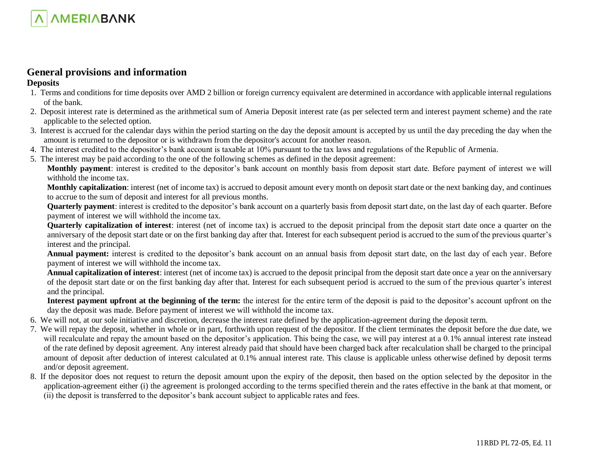

## **General provisions and information**

**Deposits**

- 1. Terms and conditions for time deposits over AMD 2 billion or foreign currency equivalent are determined in accordance with applicable internal regulations of the bank.
- 2. Deposit interest rate is determined as the arithmetical sum of Ameria Deposit interest rate (as per selected term and interest payment scheme) and the rate applicable to the selected option.
- 3. Interest is accrued for the calendar days within the period starting on the day the deposit amount is accepted by us until the day preceding the day when the amount is returned to the depositor or is withdrawn from the depositor's account for another reason.
- 4. The interest credited to the depositor's bank account is taxable at 10% pursuant to the tax laws and regulations of the Republic of Armenia.
- 5. The interest may be paid according to the one of the following schemes as defined in the deposit agreement:

**Monthly payment**: interest is credited to the depositor's bank account on monthly basis from deposit start date. Before payment of interest we will withhold the income tax.

**Monthly capitalization**: interest (net of income tax) is accrued to deposit amount every month on deposit start date or the next banking day, and continues to accrue to the sum of deposit and interest for all previous months.

**Quarterly payment**: interest is credited to the depositor's bank account on a quarterly basis from deposit start date, on the last day of each quarter. Before payment of interest we will withhold the income tax.

**Quarterly capitalization of interest**: interest (net of income tax) is accrued to the deposit principal from the deposit start date once a quarter on the anniversary of the deposit start date or on the first banking day after that. Interest for each subsequent period is accrued to the sum of the previous quarter's interest and the principal.

**Annual payment:** interest is credited to the depositor's bank account on an annual basis from deposit start date, on the last day of each year. Before payment of interest we will withhold the income tax.

**Annual capitalization of interest**: interest (net of income tax) is accrued to the deposit principal from the deposit start date once a year on the anniversary of the deposit start date or on the first banking day after that. Interest for each subsequent period is accrued to the sum of the previous quarter's interest and the principal.

**Interest payment upfront at the beginning of the term:** the interest for the entire term of the deposit is paid to the depositor's account upfront on the day the deposit was made. Before payment of interest we will withhold the income tax.

- 6. We will not, at our sole initiative and discretion, decrease the interest rate defined by the application-agreement during the deposit term.
- 7. We will repay the deposit, whether in whole or in part, forthwith upon request of the depositor. If the client terminates the deposit before the due date, we will recalculate and repay the amount based on the depositor's application. This being the case, we will pay interest at a 0.1% annual interest rate instead of the rate defined by deposit agreement. Any interest already paid that should have been charged back after recalculation shall be charged to the principal amount of deposit after deduction of interest calculated at 0.1% annual interest rate. This clause is applicable unless otherwise defined by deposit terms and/or deposit agreement.
- 8. If the depositor does not request to return the deposit amount upon the expiry of the deposit, then based on the option selected by the depositor in the application-agreement either (i) the agreement is prolonged according to the terms specified therein and the rates effective in the bank at that moment, or (ii) the deposit is transferred to the depositor's bank account subject to applicable rates and fees.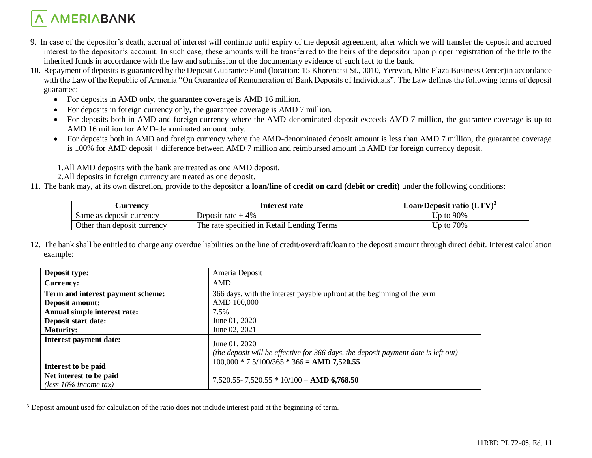# *AMERIABANK*

 $\overline{a}$ 

- 9. In case of the depositor's death, accrual of interest will continue until expiry of the deposit agreement, after which we will transfer the deposit and accrued interest to the depositor's account. In such case, these amounts will be transferred to the heirs of the depositor upon proper registration of the title to the inherited funds in accordance with the law and submission of the documentary evidence of such fact to the bank.
- 10. Repayment of deposits is guaranteed by the Deposit Guarantee Fund (location: 15 Khorenatsi St., 0010, Yerevan, Elite Plaza Business Center)in accordance with the Law of the Republic of Armenia "On Guarantee of Remuneration of Bank Deposits of Individuals". The Law defines the following terms of deposit guarantee:
	- For deposits in AMD only, the guarantee coverage is AMD 16 million.
	- For deposits in foreign currency only, the guarantee coverage is AMD 7 million.
	- For deposits both in AMD and foreign currency where the AMD-denominated deposit exceeds AMD 7 million, the guarantee coverage is up to AMD 16 million for AMD-denominated amount only.
	- For deposits both in AMD and foreign currency where the AMD-denominated deposit amount is less than AMD 7 million, the guarantee coverage is 100% for AMD deposit + difference between AMD 7 million and reimbursed amount in AMD for foreign currency deposit.

1.All AMD deposits with the bank are treated as one AMD deposit.

2.All deposits in foreign currency are treated as one deposit.

11. The bank may, at its own discretion, provide to the depositor **a loan/line of credit on card (debit or credit)** under the following conditions:

| <b>Currency</b>             | Interest rate                                 | Loan/Deposit ratio $(LTV)^3$ |
|-----------------------------|-----------------------------------------------|------------------------------|
| Same as deposit currency    | Deposit rate $+4\%$                           | Up to 90%                    |
| Other than deposit currency | The rate specified in Retail Lending<br>Terms | Up to 70%                    |

12. The bank shall be entitled to charge any overdue liabilities on the line of credit/overdraft/loan to the deposit amount through direct debit. Interest calculation example:

| Deposit type:                                       | Ameria Deposit                                                                     |
|-----------------------------------------------------|------------------------------------------------------------------------------------|
| <b>Currency:</b>                                    | AMD                                                                                |
| Term and interest payment scheme:                   | 366 days, with the interest payable upfront at the beginning of the term           |
| <b>Deposit amount:</b>                              | AMD 100,000                                                                        |
| Annual simple interest rate:                        | 7.5%                                                                               |
| Deposit start date:                                 | June 01, 2020                                                                      |
| <b>Maturity:</b>                                    | June 02, 2021                                                                      |
| <b>Interest payment date:</b>                       | June 01, 2020                                                                      |
|                                                     | (the deposit will be effective for 366 days, the deposit payment date is left out) |
| Interest to be paid                                 | $100,000 * 7.5/100/365 * 366 =$ AMD 7,520.55                                       |
| Net interest to be paid<br>(less $10\%$ income tax) | $7,520.55 - 7,520.55 * 10/100 =$ AMD 6,768.50                                      |

<sup>3</sup> Deposit amount used for calculation of the ratio does not include interest paid at the beginning of term.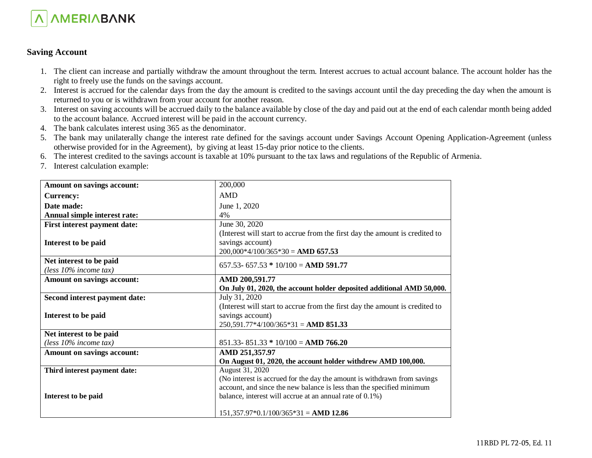

#### **Saving Account**

- 1. The client can increase and partially withdraw the amount throughout the term. Interest accrues to actual account balance. The account holder has the right to freely use the funds on the savings account.
- 2. Interest is accrued for the calendar days from the day the amount is credited to the savings account until the day preceding the day when the amount is returned to you or is withdrawn from your account for another reason.
- 3. Interest on saving accounts will be accrued daily to the balance available by close of the day and paid out at the end of each calendar month being added to the account balance. Accrued interest will be paid in the account currency.
- 4. The bank calculates interest using 365 as the denominator.
- 5. The bank may unilaterally change the interest rate defined for the savings account under Savings Account Opening Application-Agreement (unless otherwise provided for in the Agreement), by giving at least 15-day prior notice to the clients.
- 6. The interest credited to the savings account is taxable at 10% pursuant to the tax laws and regulations of the Republic of Armenia.
- 7. Interest calculation example:

| Amount on savings account:          | 200,000                                                                     |  |
|-------------------------------------|-----------------------------------------------------------------------------|--|
| <b>Currency:</b>                    | AMD                                                                         |  |
| Date made:                          | June 1, 2020                                                                |  |
| Annual simple interest rate:        | 4%                                                                          |  |
| <b>First interest payment date:</b> | June 30, 2020                                                               |  |
|                                     | (Interest will start to accrue from the first day the amount is credited to |  |
| Interest to be paid                 | savings account)                                                            |  |
|                                     | $200,000*4/100/365*30 =$ AMD 657.53                                         |  |
| Net interest to be paid             | 657.53 - 657.53 * 10/100 = AMD 591.77                                       |  |
| (less $10\%$ income tax)            |                                                                             |  |
| Amount on savings account:          | AMD 200,591.77                                                              |  |
|                                     | On July 01, 2020, the account holder deposited additional AMD 50,000.       |  |
| Second interest payment date:       | July 31, 2020                                                               |  |
|                                     | (Interest will start to accrue from the first day the amount is credited to |  |
| Interest to be paid                 | savings account)                                                            |  |
|                                     | $250,591.77*4/100/365*31 =$ AMD 851.33                                      |  |
| Net interest to be paid             |                                                                             |  |
| (less $10\%$ income tax)            | 851.33-851.33 * 10/100 = AMD 766.20                                         |  |
| Amount on savings account:          | AMD 251,357.97                                                              |  |
|                                     | On August 01, 2020, the account holder withdrew AMD 100,000.                |  |
| Third interest payment date:        | August 31, 2020                                                             |  |
|                                     | (No interest is accrued for the day the amount is withdrawn from savings    |  |
|                                     | account, and since the new balance is less than the specified minimum       |  |
| Interest to be paid                 | balance, interest will accrue at an annual rate of 0.1%)                    |  |
|                                     |                                                                             |  |
|                                     | $151,357.97*0.1/100/365*31 =$ AMD 12.86                                     |  |